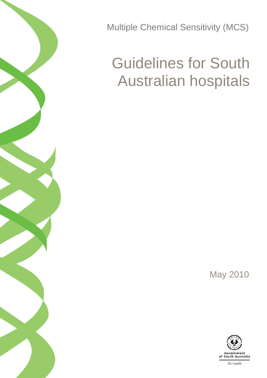

Multiple Chemical Sensitivity (MCS)

# Guidelines for South Australian hospitals

May 2010



SA Health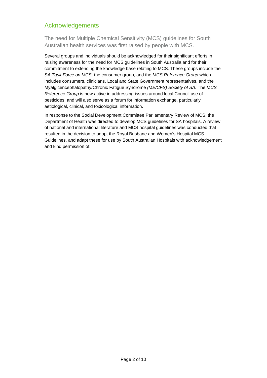## Acknowledgements

The need for Multiple Chemical Sensitivity (MCS) guidelines for South Australian health services was first raised by people with MCS.

Several groups and individuals should be acknowledged for their significant efforts in raising awareness for the need for MCS guidelines in South Australia and for their commitment to extending the knowledge base relating to MCS. These groups include the *SA Task Force on MCS,* the consumer group, and the *MCS Reference Group* which includes consumers, clinicians, Local and State Government representatives, and the Myalgicencephalopathy/Chronic Fatigue Syndrome *(ME/CFS) Society of SA.* The *MCS Reference Group* is now active in addressing issues around local Council use of pesticides, and will also serve as a forum for information exchange, particularly aetiological, clinical, and toxicological information.

In response to the Social Development Committee Parliamentary Review of MCS, the Department of Health was directed to develop MCS guidelines for SA hospitals. A review of national and international literature and MCS hospital guidelines was conducted that resulted in the decision to adopt the Royal Brisbane and Women's Hospital MCS Guidelines, and adapt these for use by South Australian Hospitals with acknowledgement and kind permission of: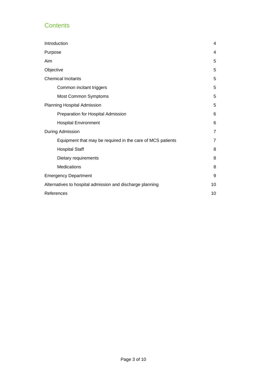# **Contents**

| Introduction                                               | 4              |
|------------------------------------------------------------|----------------|
| Purpose                                                    | 4              |
| Aim                                                        | 5              |
| Objective                                                  | 5              |
| <b>Chemical Incitants</b>                                  | 5              |
| Common incitant triggers                                   | 5              |
| Most Common Symptoms                                       | 5              |
| Planning Hospital Admission                                | 5              |
| Preparation for Hospital Admission                         | 6              |
| <b>Hospital Environment</b>                                | 6              |
| During Admission                                           | $\overline{7}$ |
| Equipment that may be required in the care of MCS patients | $\overline{7}$ |
| <b>Hospital Staff</b>                                      | 8              |
| Dietary requirements                                       | 8              |
| <b>Medications</b>                                         | 8              |
| <b>Emergency Department</b>                                | 9              |
| Alternatives to hospital admission and discharge planning  | 10             |
| References                                                 | 10             |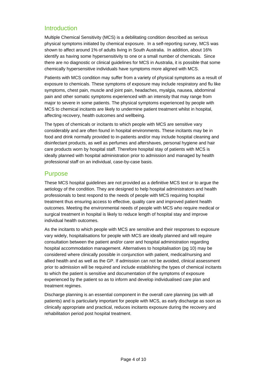## Introduction

Multiple Chemical Sensitivity (MCS) is a debilitating condition described as serious physical symptoms initiated by chemical exposure. In a self-reporting survey, MCS was shown to affect around 1% of adults living in South Australia. In addition, about 16% identify as having some hypersensitivity to one or a small number of chemicals. Since there are no diagnostic or clinical guidelines for MCS in Australia, it is possible that some chemically hypersensitive individuals have symptoms more aligned with MCS.

Patients with MCS condition may suffer from a variety of physical symptoms as a result of exposure to chemicals. These symptoms of exposure may include respiratory and flu like symptoms, chest pain, muscle and joint pain, headaches, myalgia, nausea, abdominal pain and other somatic symptoms experienced with an intensity that may range from major to severe in some patients. The physical symptoms experienced by people with MCS to chemical incitants are likely to undermine patient treatment whilst in hospital, affecting recovery, health outcomes and wellbeing.

The types of chemicals or incitants to which people with MCS are sensitive vary considerably and are often found in hospital environments. These incitants may be in food and drink normally provided to in-patients and/or may include hospital cleaning and disinfectant products, as well as perfumes and aftershaves, personal hygiene and hair care products worn by hospital staff. Therefore hospital stay of patients with MCS is ideally planned with hospital administration prior to admission and managed by health professional staff on an individual, case-by-case basis.

## Purpose

These MCS hospital guidelines are not provided as a definitive MCS text or to argue the aetiology of the condition. They are designed to help hospital administrators and health professionals to best respond to the needs of people with MCS requiring hospital treatment thus ensuring access to effective, quality care and improved patient health outcomes. Meeting the environmental needs of people with MCS who require medical or surgical treatment in hospital is likely to reduce length of hospital stay and improve individual health outcomes.

As the incitants to which people with MCS are sensitive and their responses to exposure vary widely, hospitalisations for people with MCS are ideally planned and will require consultation between the patient and/or carer and hospital administration regarding hospital accommodation management. Alternatives to hospitalisation (pg 10) may be considered where clinically possible in conjunction with patient, medical/nursing and allied health and as well as the GP. If admission can not be avoided, clinical assessment prior to admission will be required and include establishing the types of chemical incitants to which the patient is sensitive and documentation of the symptoms of exposure experienced by the patient so as to inform and develop individualised care plan and treatment regimes.

Discharge planning is an essential component in the overall care planning (as with all patients) and is particularly important for people with MCS, as early discharge as soon as clinically appropriate and practical, reduces incitants exposure during the recovery and rehabilitation period post hospital treatment.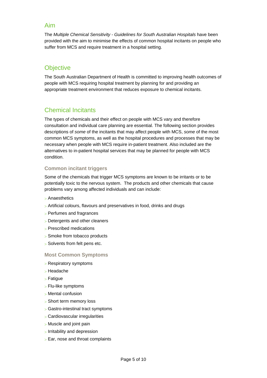## Aim

The *Multiple Chemical Sensitivity - Guidelines for South Australian Hospitals* have been provided with the aim to minimise the effects of common hospital incitants on people who suffer from MCS and require treatment in a hospital setting.

## **Objective**

The South Australian Department of Health is committed to improving health outcomes of people with MCS requiring hospital treatment by planning for and providing an appropriate treatment environment that reduces exposure to chemical incitants.

# Chemical Incitants

The types of chemicals and their effect on people with MCS vary and therefore consultation and individual care planning are essential. The following section provides descriptions of *some* of the incitants that may affect people with MCS, *some* of the most common MCS symptoms, as well as the hospital procedures and processes that may be necessary when people with MCS require in-patient treatment. Also included are the alternatives to in-patient hospital services that may be planned for people with MCS condition.

## **Common incitant triggers**

Some of the chemicals that trigger MCS symptoms are known to be irritants or to be potentially toxic to the nervous system. The products and other chemicals that cause problems vary among affected individuals and can include:

- Anaesthetics
- Artificial colours, flavours and preservatives in food, drinks and drugs
- > Perfumes and fragrances
- Detergents and other cleaners
- > Prescribed medications
- Smoke from tobacco products
- > Solvents from felt pens etc.

### **Most Common Symptoms**

- Respiratory symptoms
- Headache
- Fatigue
- Flu-like symptoms
- Mental confusion
- Short term memory loss
- Gastro-intestinal tract symptoms
- Cardiovascular irregularities
- Muscle and joint pain
- $>$  Irritability and depression
- Ear, nose and throat complaints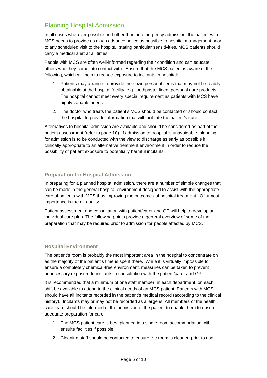# Planning Hospital Admission

In all cases wherever possible and other than an emergency admission, the patient with MCS needs to provide as much advance notice as possible to hospital management prior to any scheduled visit to the hospital, stating particular sensitivities. MCS patients should carry a medical alert at all times.

People with MCS are often well-informed regarding their condition and can educate others who they come into contact with. Ensure that the MCS patient is aware of the following, which will help to reduce exposure to incitants in hospital:

- 1. Patients may arrange to provide their own personal items that may not be readily obtainable at the hospital facility, e.g. toothpaste, linen, personal care products. The hospital cannot meet every special requirement as patients with MCS have highly variable needs.
- 2. The doctor who treats the patient's MCS should be contacted or should contact the hospital to provide information that will facilitate the patient's care.

Alternatives to hospital admission are available and should be considered as part of the patient assessment (refer to page 10). If admission to hospital is unavoidable, planning for admission is to be conducted with the view to discharge as early as possible if clinically appropriate to an alternative treatment environment in order to reduce the possibility of patient exposure to potentially harmful incitants.

## **Preparation for Hospital Admission**

In preparing for a planned hospital admission, there are a number of simple changes that can be made in the general hospital environment designed to assist with the appropriate care of patients with MCS thus improving the outcomes of hospital treatment. Of utmost importance is the air quality.

Patient assessment and consultation with patient/carer and GP will help to develop an individual care plan. The following points provide a general overview of some of the preparation that may be required prior to admission for people affected by MCS.

### **Hospital Environment**

The patient's room is probably the most important area in the hospital to concentrate on as the majority of the patient's time is spent there. While it is virtually impossible to ensure a completely chemical-free environment, measures can be taken to prevent unnecessary exposure to incitants in consultation with the patient/carer and GP.

It is recommended that a minimum of one staff member, in each department, on each shift be available to attend to the clinical needs of an MCS patient. Patients with MCS should have all incitants recorded in the patient's medical record (according to the clinical history). Incitants may or may not be recorded as allergens. All members of the health care team should be informed of the admission of the patient to enable them to ensure adequate preparation for care.

- 1. The MCS patient care is best planned in a single room accommodation with ensuite facilities if possible.
- 2. Cleaning staff should be contacted to ensure the room is cleaned prior to use,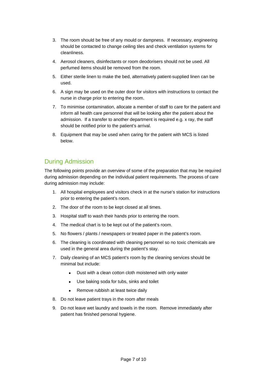- 3. The room should be free of any mould or dampness. If necessary, engineering should be contacted to change ceiling tiles and check ventilation systems for cleanliness.
- 4. Aerosol cleaners, disinfectants or room deodorisers should not be used. All perfumed items should be removed from the room.
- 5. Either sterile linen to make the bed, alternatively patient-supplied linen can be used.
- 6. A sign may be used on the outer door for visitors with instructions to contact the nurse in charge prior to entering the room.
- 7. To minimise contamination, allocate a member of staff to care for the patient and inform all health care personnel that will be looking after the patient about the admission. If a transfer to another department is required e.g. x ray, the staff should be notified prior to the patient's arrival.
- 8. Equipment that may be used when caring for the patient with MCS is listed below.

# During Admission

The following points provide an overview of some of the preparation that may be required during admission depending on the individual patient requirements. The process of care during admission may include:

- 1. All hospital employees and visitors check in at the nurse's station for instructions prior to entering the patient's room.
- 2. The door of the room to be kept closed at all times.
- 3. Hospital staff to wash their hands prior to entering the room.
- 4. The medical chart is to be kept out of the patient's room.
- 5. No flowers / plants / newspapers or treated paper in the patient's room.
- 6. The cleaning is coordinated with cleaning personnel so no toxic chemicals are used in the general area during the patient's stay.
- 7. Daily cleaning of an MCS patient's room by the cleaning services should be minimal but include:
	- Dust with a clean cotton cloth moistened with only water
	- Use baking soda for tubs, sinks and toilet
	- Remove rubbish at least twice daily
- 8. Do not leave patient trays in the room after meals
- 9. Do not leave wet laundry and towels in the room. Remove immediately after patient has finished personal hygiene.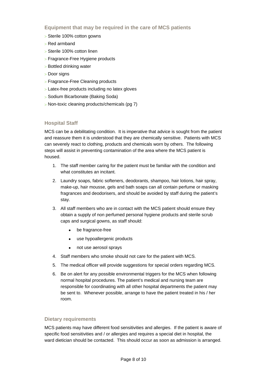**Equipment that may be required in the care of MCS patients** 

- Sterile 100% cotton gowns
- $>$  Red armband
- Sterile 100% cotton linen
- Fragrance-Free Hygiene products
- > Bottled drinking water
- > Door signs
- > Fragrance-Free Cleaning products
- Latex-free products including no latex gloves
- Sodium Bicarbonate (Baking Soda)
- Non-toxic cleaning products/chemicals (pg 7)

#### **Hospital Staff**

MCS can be a debilitating condition. It is imperative that advice is sought from the patient and reassure them it is understood that they are chemically sensitive. Patients with MCS can severely react to clothing, products and chemicals worn by others. The following steps will assist in preventing contamination of the area where the MCS patient is housed.

- 1. The staff member caring for the patient must be familiar with the condition and what constitutes an incitant.
- 2. Laundry soaps, fabric softeners, deodorants, shampoo, hair lotions, hair spray, make-up, hair mousse, gels and bath soaps can all contain perfume or masking fragrances and deodorisers, and should be avoided by staff during the patient's stay.
- 3. All staff members who are in contact with the MCS patient should ensure they obtain a supply of non perfumed personal hygiene products and sterile scrub caps and surgical gowns, as staff should:
	- be fragrance-free
	- use hypoallergenic products
	- not use aerosol sprays
- 4. Staff members who smoke should not care for the patient with MCS.
- 5. The medical officer will provide suggestions for special orders regarding MCS.
- 6. Be on alert for any possible environmental triggers for the MCS when following normal hospital procedures. The patient's medical and nursing team are responsible for coordinating with all other hospital departments the patient may be sent to. Whenever possible, arrange to have the patient treated in his / her room.

#### **Dietary requirements**

MCS patients may have different food sensitivities and allergies. If the patient is aware of specific food sensitivities and / or allergies and requires a special diet in hospital, the ward dietician should be contacted. This should occur as soon as admission is arranged.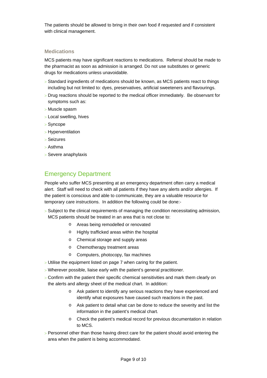The patients should be allowed to bring in their own food if requested and if consistent with clinical management.

#### **Medications**

MCS patients may have significant reactions to medications. Referral should be made to the pharmacist as soon as admission is arranged. Do not use substitutes or generic drugs for medications unless unavoidable.

- Standard ingredients of medications should be known, as MCS patients react to things including but not limited to: dyes, preservatives, artificial sweeteners and flavourings.
- Drug reactions should be reported to the medical officer immediately. Be observant for symptoms such as:
- Muscle spasm
- Local swelling, hives
- Syncope
- > Hyperventilation
- Seizures
- Asthma
- > Severe anaphylaxis

## Emergency Department

People who suffer MCS presenting at an emergency department often carry a medical alert. Staff will need to check with all patients if they have any alerts and/or allergies. If the patient is conscious and able to communicate, they are a valuable resource for temporary care instructions. In addition the following could be done:-

- Subject to the clinical requirements of managing the condition necessitating admission, MCS patients should be treated in an area that is not close to:
	- o Areas being remodelled or renovated
	- o Highly trafficked areas within the hospital
	- o Chemical storage and supply areas
	- o Chemotherapy treatment areas
	- o Computers, photocopy, fax machines
- $>$  Utilise the equipment listed on page 7 when caring for the patient.
- Wherever possible, liaise early with the patient's general practitioner.
- Confirm with the patient their specific chemical sensitivities and mark them clearly on the alerts and allergy sheet of the medical chart. In addition:
	- o Ask patient to identify any serious reactions they have experienced and identify what exposures have caused such reactions in the past.
	- o Ask patient to detail what can be done to reduce the severity and list the information in the patient's medical chart.
	- o Check the patient's medical record for previous documentation in relation to MCS.
- > Personnel other than those having direct care for the patient should avoid entering the area when the patient is being accommodated.